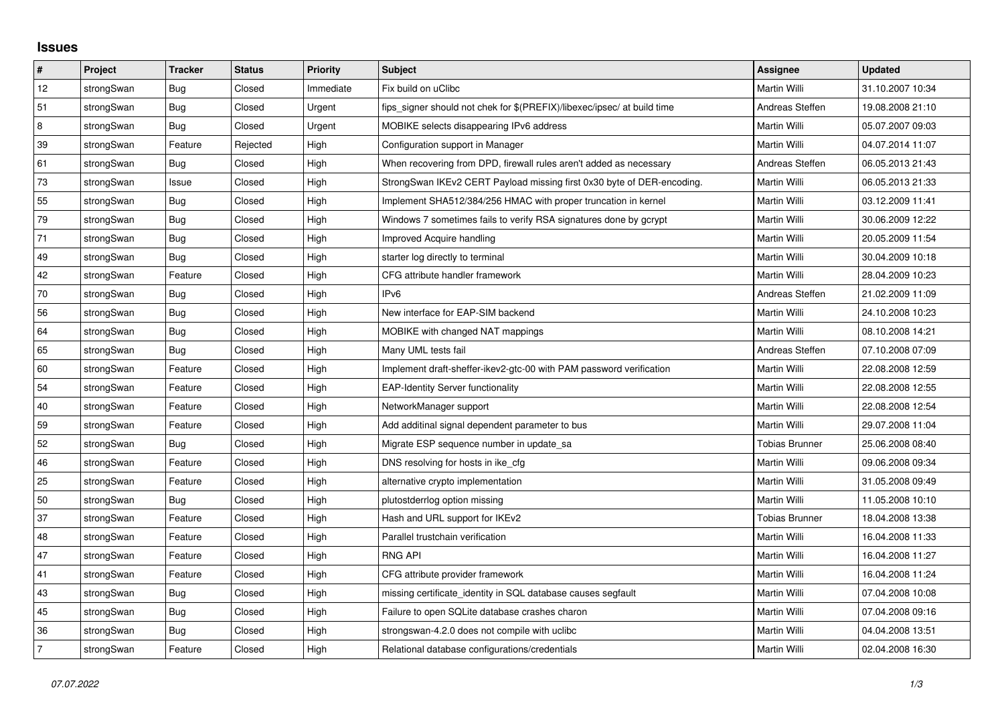## **Issues**

| $\pmb{\#}$  | Project    | <b>Tracker</b> | <b>Status</b> | <b>Priority</b> | <b>Subject</b>                                                          | <b>Assignee</b>       | <b>Updated</b>   |
|-------------|------------|----------------|---------------|-----------------|-------------------------------------------------------------------------|-----------------------|------------------|
| $12\,$      | strongSwan | <b>Bug</b>     | Closed        | Immediate       | Fix build on uClibc                                                     | Martin Willi          | 31.10.2007 10:34 |
| 51          | strongSwan | Bug            | Closed        | Urgent          | fips signer should not chek for \$(PREFIX)/libexec/ipsec/ at build time | Andreas Steffen       | 19.08.2008 21:10 |
| $\,$ 8 $\,$ | strongSwan | Bug            | Closed        | Urgent          | MOBIKE selects disappearing IPv6 address                                | Martin Willi          | 05.07.2007 09:03 |
| 39          | strongSwan | Feature        | Rejected      | High            | Configuration support in Manager                                        | Martin Willi          | 04.07.2014 11:07 |
| 61          | strongSwan | <b>Bug</b>     | Closed        | High            | When recovering from DPD, firewall rules aren't added as necessary      | Andreas Steffen       | 06.05.2013 21:43 |
| 73          | strongSwan | Issue          | Closed        | High            | StrongSwan IKEv2 CERT Payload missing first 0x30 byte of DER-encoding.  | Martin Willi          | 06.05.2013 21:33 |
| 55          | strongSwan | Bug            | Closed        | High            | Implement SHA512/384/256 HMAC with proper truncation in kernel          | Martin Willi          | 03.12.2009 11:41 |
| 79          | strongSwan | Bug            | Closed        | High            | Windows 7 sometimes fails to verify RSA signatures done by gcrypt       | Martin Willi          | 30.06.2009 12:22 |
| 71          | strongSwan | Bug            | Closed        | High            | Improved Acquire handling                                               | Martin Willi          | 20.05.2009 11:54 |
| 49          | strongSwan | Bug            | Closed        | High            | starter log directly to terminal                                        | Martin Willi          | 30.04.2009 10:18 |
| 42          | strongSwan | Feature        | Closed        | High            | CFG attribute handler framework                                         | Martin Willi          | 28.04.2009 10:23 |
| 70          | strongSwan | Bug            | Closed        | High            | IPv6                                                                    | Andreas Steffen       | 21.02.2009 11:09 |
| 56          | strongSwan | Bug            | Closed        | High            | New interface for EAP-SIM backend                                       | Martin Willi          | 24.10.2008 10:23 |
| 64          | strongSwan | <b>Bug</b>     | Closed        | High            | MOBIKE with changed NAT mappings                                        | Martin Willi          | 08.10.2008 14:21 |
| 65          | strongSwan | Bug            | Closed        | High            | Many UML tests fail                                                     | Andreas Steffen       | 07.10.2008 07:09 |
| 60          | strongSwan | Feature        | Closed        | High            | Implement draft-sheffer-ikev2-gtc-00 with PAM password verification     | Martin Willi          | 22.08.2008 12:59 |
| 54          | strongSwan | Feature        | Closed        | High            | <b>EAP-Identity Server functionality</b>                                | Martin Willi          | 22.08.2008 12:55 |
| 40          | strongSwan | Feature        | Closed        | High            | NetworkManager support                                                  | Martin Willi          | 22.08.2008 12:54 |
| 59          | strongSwan | Feature        | Closed        | High            | Add additinal signal dependent parameter to bus                         | Martin Willi          | 29.07.2008 11:04 |
| 52          | strongSwan | Bug            | Closed        | High            | Migrate ESP sequence number in update sa                                | Tobias Brunner        | 25.06.2008 08:40 |
| 46          | strongSwan | Feature        | Closed        | High            | DNS resolving for hosts in ike_cfg                                      | Martin Willi          | 09.06.2008 09:34 |
| 25          | strongSwan | Feature        | Closed        | High            | alternative crypto implementation                                       | Martin Willi          | 31.05.2008 09:49 |
| 50          | strongSwan | Bug            | Closed        | High            | plutostderrlog option missing                                           | Martin Willi          | 11.05.2008 10:10 |
| 37          | strongSwan | Feature        | Closed        | High            | Hash and URL support for IKEv2                                          | <b>Tobias Brunner</b> | 18.04.2008 13:38 |
| 48          | strongSwan | Feature        | Closed        | High            | Parallel trustchain verification                                        | Martin Willi          | 16.04.2008 11:33 |
| 47          | strongSwan | Feature        | Closed        | High            | <b>RNG API</b>                                                          | Martin Willi          | 16.04.2008 11:27 |
| 41          | strongSwan | Feature        | Closed        | High            | CFG attribute provider framework                                        | Martin Willi          | 16.04.2008 11:24 |
| 43          | strongSwan | Bug            | Closed        | High            | missing certificate identity in SQL database causes segfault            | Martin Willi          | 07.04.2008 10:08 |
| 45          | strongSwan | Bug            | Closed        | High            | Failure to open SQLite database crashes charon                          | Martin Willi          | 07.04.2008 09:16 |
| 36          | strongSwan | Bug            | Closed        | High            | strongswan-4.2.0 does not compile with uclibc                           | Martin Willi          | 04.04.2008 13:51 |
| 7           | strongSwan | Feature        | Closed        | High            | Relational database configurations/credentials                          | Martin Willi          | 02.04.2008 16:30 |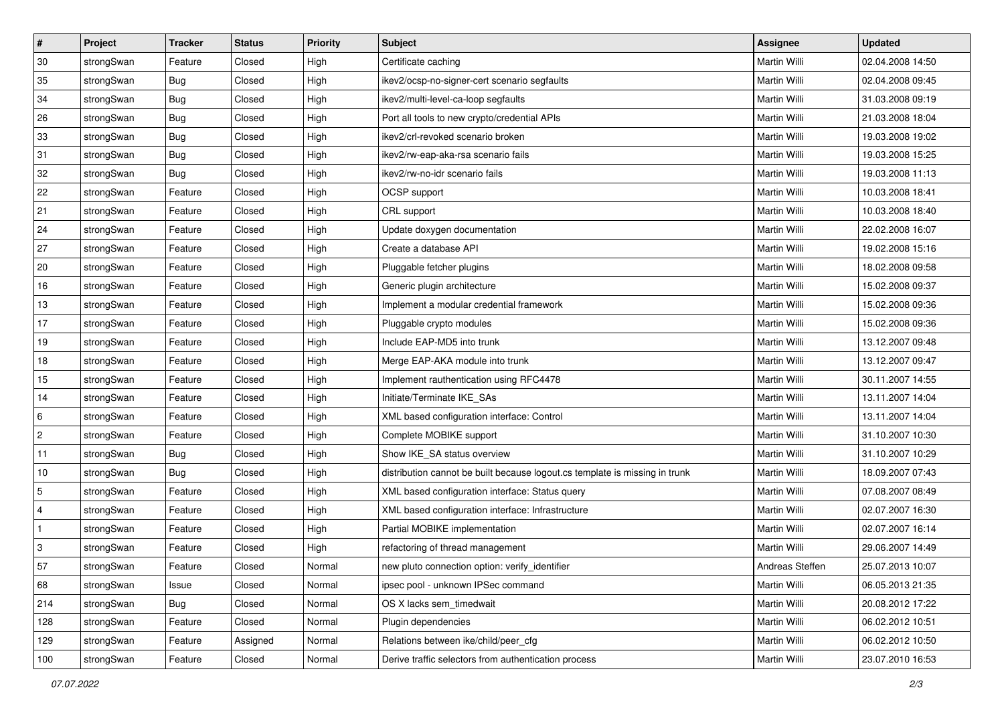| #              | Project    | <b>Tracker</b> | <b>Status</b> | <b>Priority</b> | <b>Subject</b>                                                              | Assignee            | <b>Updated</b>   |
|----------------|------------|----------------|---------------|-----------------|-----------------------------------------------------------------------------|---------------------|------------------|
| 30             | strongSwan | Feature        | Closed        | High            | Certificate caching                                                         | Martin Willi        | 02.04.2008 14:50 |
| 35             | strongSwan | Bug            | Closed        | High            | ikev2/ocsp-no-signer-cert scenario segfaults                                | Martin Willi        | 02.04.2008 09:45 |
| 34             | strongSwan | Bug            | Closed        | High            | ikev2/multi-level-ca-loop segfaults                                         | Martin Willi        | 31.03.2008 09:19 |
| 26             | strongSwan | Bug            | Closed        | High            | Port all tools to new crypto/credential APIs                                | <b>Martin Willi</b> | 21.03.2008 18:04 |
| 33             | strongSwan | Bug            | Closed        | High            | ikev2/crl-revoked scenario broken                                           | <b>Martin Willi</b> | 19.03.2008 19:02 |
| 31             | strongSwan | Bug            | Closed        | High            | ikev2/rw-eap-aka-rsa scenario fails                                         | Martin Willi        | 19.03.2008 15:25 |
| 32             | strongSwan | <b>Bug</b>     | Closed        | High            | ikev2/rw-no-idr scenario fails                                              | Martin Willi        | 19.03.2008 11:13 |
| 22             | strongSwan | Feature        | Closed        | High            | OCSP support                                                                | Martin Willi        | 10.03.2008 18:41 |
| 21             | strongSwan | Feature        | Closed        | High            | CRL support                                                                 | Martin Willi        | 10.03.2008 18:40 |
| 24             | strongSwan | Feature        | Closed        | High            | Update doxygen documentation                                                | <b>Martin Willi</b> | 22.02.2008 16:07 |
| 27             | strongSwan | Feature        | Closed        | High            | Create a database API                                                       | Martin Willi        | 19.02.2008 15:16 |
| 20             | strongSwan | Feature        | Closed        | High            | Pluggable fetcher plugins                                                   | Martin Willi        | 18.02.2008 09:58 |
| 16             | strongSwan | Feature        | Closed        | High            | Generic plugin architecture                                                 | <b>Martin Willi</b> | 15.02.2008 09:37 |
| 13             | strongSwan | Feature        | Closed        | High            | Implement a modular credential framework                                    | Martin Willi        | 15.02.2008 09:36 |
| 17             | strongSwan | Feature        | Closed        | High            | Pluggable crypto modules                                                    | <b>Martin Willi</b> | 15.02.2008 09:36 |
| 19             | strongSwan | Feature        | Closed        | High            | Include EAP-MD5 into trunk                                                  | Martin Willi        | 13.12.2007 09:48 |
| 18             | strongSwan | Feature        | Closed        | High            | Merge EAP-AKA module into trunk                                             | Martin Willi        | 13.12.2007 09:47 |
| 15             | strongSwan | Feature        | Closed        | High            | Implement rauthentication using RFC4478                                     | Martin Willi        | 30.11.2007 14:55 |
| 14             | strongSwan | Feature        | Closed        | High            | Initiate/Terminate IKE_SAs                                                  | Martin Willi        | 13.11.2007 14:04 |
| 6              | strongSwan | Feature        | Closed        | High            | XML based configuration interface: Control                                  | Martin Willi        | 13.11.2007 14:04 |
| $\overline{2}$ | strongSwan | Feature        | Closed        | High            | Complete MOBIKE support                                                     | Martin Willi        | 31.10.2007 10:30 |
| 11             | strongSwan | <b>Bug</b>     | Closed        | High            | Show IKE_SA status overview                                                 | Martin Willi        | 31.10.2007 10:29 |
| 10             | strongSwan | Bug            | Closed        | High            | distribution cannot be built because logout.cs template is missing in trunk | Martin Willi        | 18.09.2007 07:43 |
| 5              | strongSwan | Feature        | Closed        | High            | XML based configuration interface: Status query                             | Martin Willi        | 07.08.2007 08:49 |
| $\overline{4}$ | strongSwan | Feature        | Closed        | High            | XML based configuration interface: Infrastructure                           | Martin Willi        | 02.07.2007 16:30 |
| $\vert$ 1      | strongSwan | Feature        | Closed        | High            | Partial MOBIKE implementation                                               | <b>Martin Willi</b> | 02.07.2007 16:14 |
| 3              | strongSwan | Feature        | Closed        | High            | refactoring of thread management                                            | Martin Willi        | 29.06.2007 14:49 |
| 57             | strongSwan | Feature        | Closed        | Normal          | new pluto connection option: verify_identifier                              | Andreas Steffen     | 25.07.2013 10:07 |
| 68             | strongSwan | Issue          | Closed        | Normal          | ipsec pool - unknown IPSec command                                          | Martin Willi        | 06.05.2013 21:35 |
| 214            | strongSwan | Bug            | Closed        | Normal          | OS X lacks sem_timedwait                                                    | Martin Willi        | 20.08.2012 17:22 |
| 128            | strongSwan | Feature        | Closed        | Normal          | Plugin dependencies                                                         | Martin Willi        | 06.02.2012 10:51 |
| 129            | strongSwan | Feature        | Assigned      | Normal          | Relations between ike/child/peer cfg                                        | Martin Willi        | 06.02.2012 10:50 |
| 100            | strongSwan | Feature        | Closed        | Normal          | Derive traffic selectors from authentication process                        | Martin Willi        | 23.07.2010 16:53 |